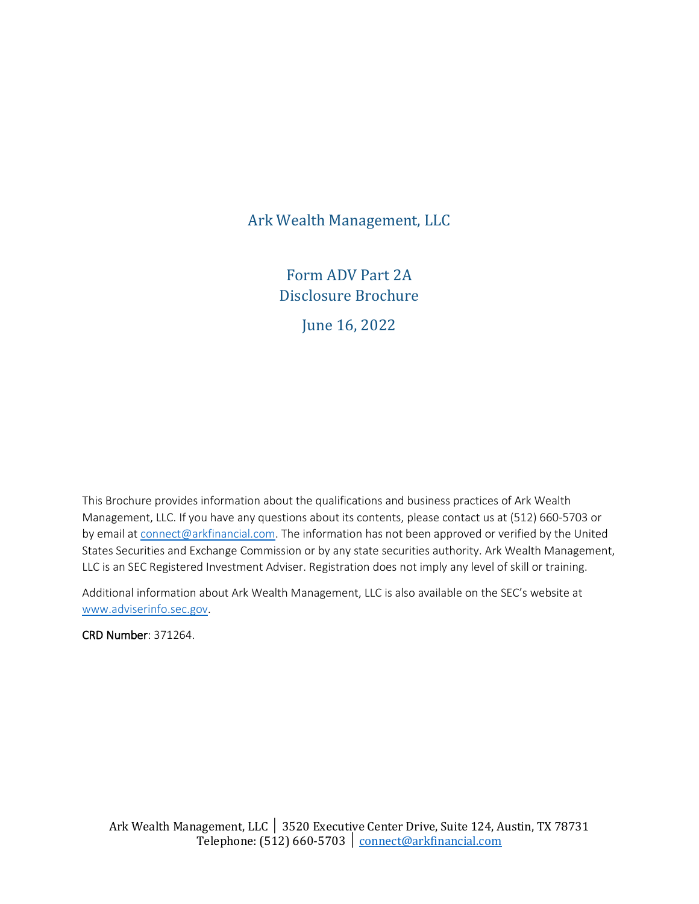Ark Wealth Management, LLC

Form ADV Part 2A Disclosure Brochure

June 16, 2022

This Brochure provides information about the qualifications and business practices of Ark Wealth Management, LLC. If you have any questions about its contents, please contact us at (512) 660-5703 or by email at [connect@arkfinancial.com.](mailto:connect@arkfinancial.com) The information has not been approved or verified by the United States Securities and Exchange Commission or by any state securities authority. Ark Wealth Management, LLC is an SEC Registered Investment Adviser. Registration does not imply any level of skill or training.

Additional information about Ark Wealth Management, LLC is also available on the SEC's website at [www.adviserinfo.sec.gov.](http://www.adviserinfo.sec.gov/)

CRD Number: 371264.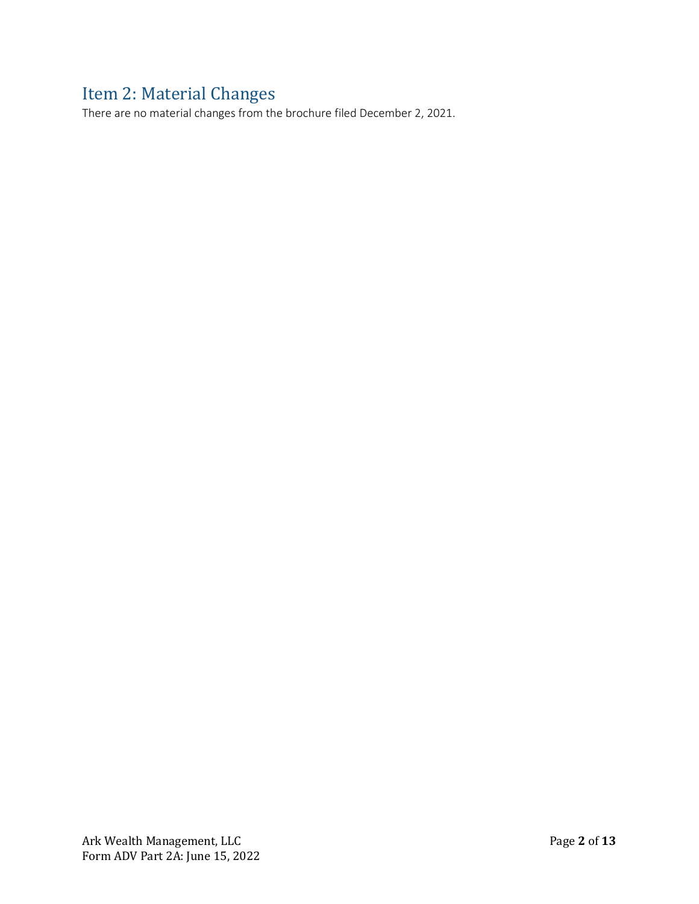# <span id="page-1-0"></span>Item 2: Material Changes

There are no material changes from the brochure filed December 2, 2021.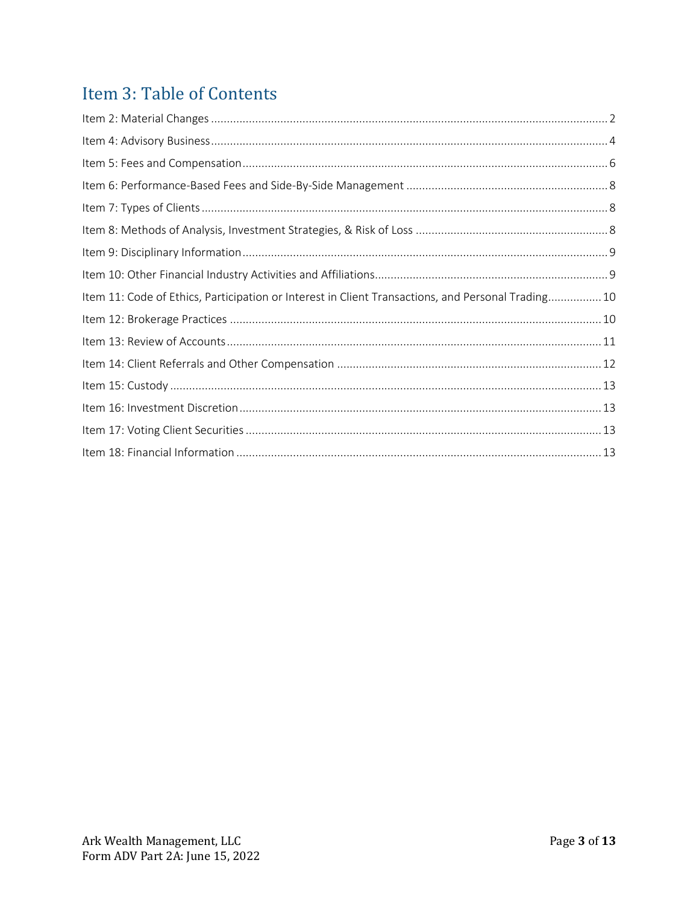# Item 3: Table of Contents

| Item 11: Code of Ethics, Participation or Interest in Client Transactions, and Personal Trading10 |  |
|---------------------------------------------------------------------------------------------------|--|
|                                                                                                   |  |
|                                                                                                   |  |
|                                                                                                   |  |
|                                                                                                   |  |
|                                                                                                   |  |
|                                                                                                   |  |
|                                                                                                   |  |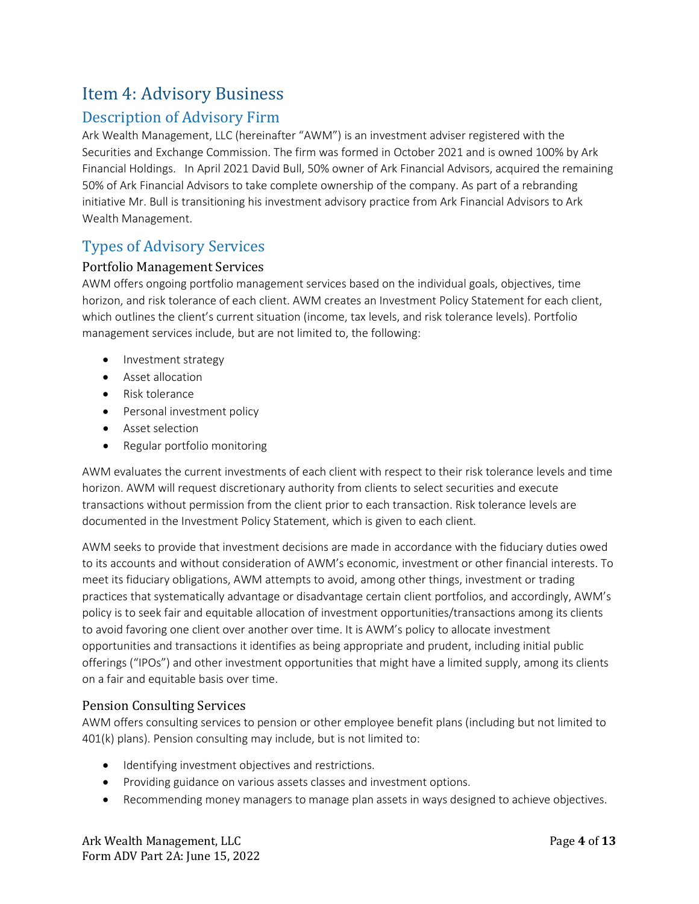# <span id="page-3-0"></span>Item 4: Advisory Business

## Description of Advisory Firm

Ark Wealth Management, LLC (hereinafter "AWM") is an investment adviser registered with the Securities and Exchange Commission. The firm was formed in October 2021 and is owned 100% by Ark Financial Holdings. In April 2021 David Bull, 50% owner of Ark Financial Advisors, acquired the remaining 50% of Ark Financial Advisors to take complete ownership of the company. As part of a rebranding initiative Mr. Bull is transitioning his investment advisory practice from Ark Financial Advisors to Ark Wealth Management.

### Types of Advisory Services

#### Portfolio Management Services

AWM offers ongoing portfolio management services based on the individual goals, objectives, time horizon, and risk tolerance of each client. AWM creates an Investment Policy Statement for each client, which outlines the client's current situation (income, tax levels, and risk tolerance levels). Portfolio management services include, but are not limited to, the following:

- Investment strategy
- Asset allocation
- Risk tolerance
- Personal investment policy
- Asset selection
- Regular portfolio monitoring

AWM evaluates the current investments of each client with respect to their risk tolerance levels and time horizon. AWM will request discretionary authority from clients to select securities and execute transactions without permission from the client prior to each transaction. Risk tolerance levels are documented in the Investment Policy Statement, which is given to each client.

AWM seeks to provide that investment decisions are made in accordance with the fiduciary duties owed to its accounts and without consideration of AWM's economic, investment or other financial interests. To meet its fiduciary obligations, AWM attempts to avoid, among other things, investment or trading practices that systematically advantage or disadvantage certain client portfolios, and accordingly, AWM's policy is to seek fair and equitable allocation of investment opportunities/transactions among its clients to avoid favoring one client over another over time. It is AWM's policy to allocate investment opportunities and transactions it identifies as being appropriate and prudent, including initial public offerings ("IPOs") and other investment opportunities that might have a limited supply, among its clients on a fair and equitable basis over time.

#### Pension Consulting Services

AWM offers consulting services to pension or other employee benefit plans (including but not limited to 401(k) plans). Pension consulting may include, but is not limited to:

- Identifying investment objectives and restrictions.
- Providing guidance on various assets classes and investment options.
- Recommending money managers to manage plan assets in ways designed to achieve objectives.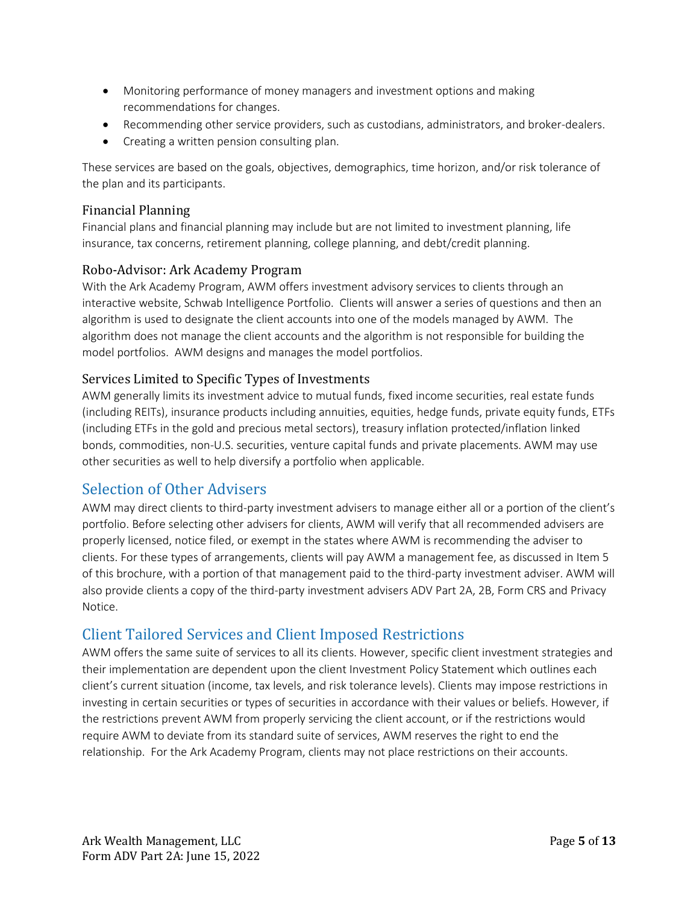- Monitoring performance of money managers and investment options and making recommendations for changes.
- Recommending other service providers, such as custodians, administrators, and broker-dealers.
- Creating a written pension consulting plan.

These services are based on the goals, objectives, demographics, time horizon, and/or risk tolerance of the plan and its participants.

#### Financial Planning

Financial plans and financial planning may include but are not limited to investment planning, life insurance, tax concerns, retirement planning, college planning, and debt/credit planning.

#### Robo-Advisor: Ark Academy Program

With the Ark Academy Program, AWM offers investment advisory services to clients through an interactive website, Schwab Intelligence Portfolio. Clients will answer a series of questions and then an algorithm is used to designate the client accounts into one of the models managed by AWM. The algorithm does not manage the client accounts and the algorithm is not responsible for building the model portfolios. AWM designs and manages the model portfolios.

#### Services Limited to Specific Types of Investments

AWM generally limits its investment advice to mutual funds, fixed income securities, real estate funds (including REITs), insurance products including annuities, equities, hedge funds, private equity funds, ETFs (including ETFs in the gold and precious metal sectors), treasury inflation protected/inflation linked bonds, commodities, non-U.S. securities, venture capital funds and private placements. AWM may use other securities as well to help diversify a portfolio when applicable.

### Selection of Other Advisers

AWM may direct clients to third-party investment advisers to manage either all or a portion of the client's portfolio. Before selecting other advisers for clients, AWM will verify that all recommended advisers are properly licensed, notice filed, or exempt in the states where AWM is recommending the adviser to clients. For these types of arrangements, clients will pay AWM a management fee, as discussed in Item 5 of this brochure, with a portion of that management paid to the third-party investment adviser. AWM will also provide clients a copy of the third-party investment advisers ADV Part 2A, 2B, Form CRS and Privacy Notice.

## Client Tailored Services and Client Imposed Restrictions

AWM offers the same suite of services to all its clients. However, specific client investment strategies and their implementation are dependent upon the client Investment Policy Statement which outlines each client's current situation (income, tax levels, and risk tolerance levels). Clients may impose restrictions in investing in certain securities or types of securities in accordance with their values or beliefs. However, if the restrictions prevent AWM from properly servicing the client account, or if the restrictions would require AWM to deviate from its standard suite of services, AWM reserves the right to end the relationship. For the Ark Academy Program, clients may not place restrictions on their accounts.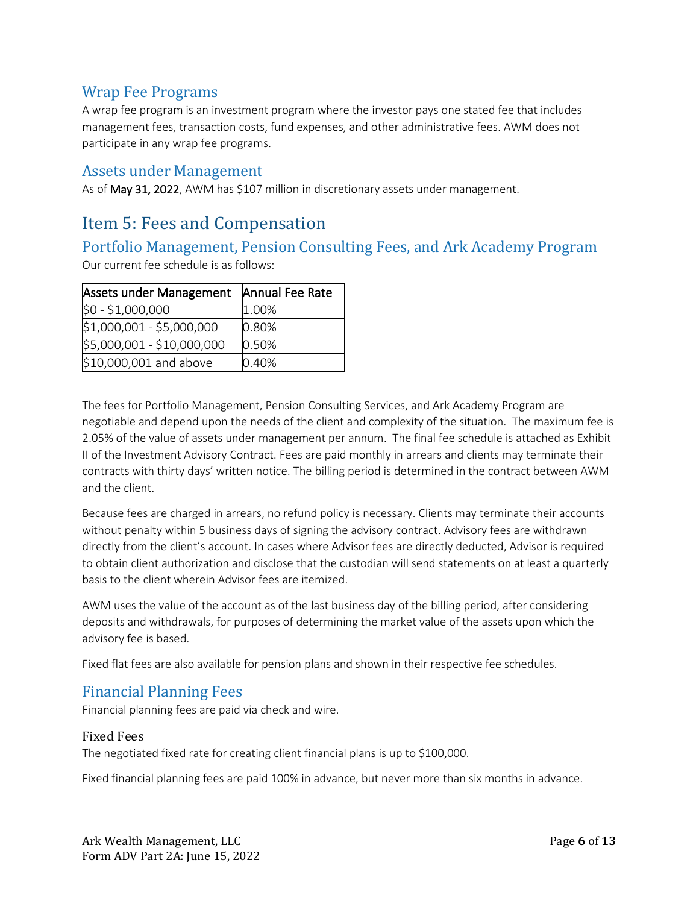### Wrap Fee Programs

A wrap fee program is an investment program where the investor pays one stated fee that includes management fees, transaction costs, fund expenses, and other administrative fees. AWM does not participate in any wrap fee programs.

#### Assets under Management

As of May 31, 2022, AWM has \$107 million in discretionary assets under management.

## <span id="page-5-0"></span>Item 5: Fees and Compensation

# Portfolio Management, Pension Consulting Fees, and Ark Academy Program

Our current fee schedule is as follows:

| Assets under Management    | Annual Fee Rate |
|----------------------------|-----------------|
| $$0 - $1,000,000$          | 1.00%           |
| \$1,000,001 - \$5,000,000  | 0.80%           |
| \$5,000,001 - \$10,000,000 | 0.50%           |
| \$10,000,001 and above     | 0.40%           |

The fees for Portfolio Management, Pension Consulting Services, and Ark Academy Program are negotiable and depend upon the needs of the client and complexity of the situation. The maximum fee is 2.05% of the value of assets under management per annum. The final fee schedule is attached as Exhibit II of the Investment Advisory Contract. Fees are paid monthly in arrears and clients may terminate their contracts with thirty days' written notice. The billing period is determined in the contract between AWM and the client.

Because fees are charged in arrears, no refund policy is necessary. Clients may terminate their accounts without penalty within 5 business days of signing the advisory contract. Advisory fees are withdrawn directly from the client's account. In cases where Advisor fees are directly deducted, Advisor is required to obtain client authorization and disclose that the custodian will send statements on at least a quarterly basis to the client wherein Advisor fees are itemized.

AWM uses the value of the account as of the last business day of the billing period, after considering deposits and withdrawals, for purposes of determining the market value of the assets upon which the advisory fee is based.

Fixed flat fees are also available for pension plans and shown in their respective fee schedules.

#### Financial Planning Fees

Financial planning fees are paid via check and wire.

#### Fixed Fees

The negotiated fixed rate for creating client financial plans is up to \$100,000.

Fixed financial planning fees are paid 100% in advance, but never more than six months in advance.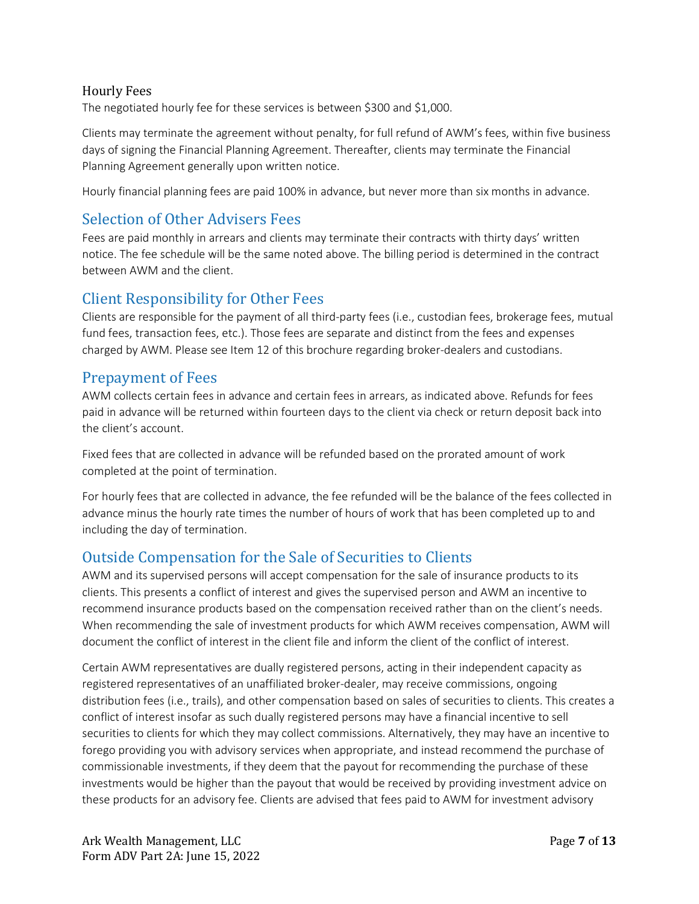#### Hourly Fees

The negotiated hourly fee for these services is between \$300 and \$1,000.

Clients may terminate the agreement without penalty, for full refund of AWM's fees, within five business days of signing the Financial Planning Agreement. Thereafter, clients may terminate the Financial Planning Agreement generally upon written notice.

Hourly financial planning fees are paid 100% in advance, but never more than six months in advance.

### Selection of Other Advisers Fees

Fees are paid monthly in arrears and clients may terminate their contracts with thirty days' written notice. The fee schedule will be the same noted above. The billing period is determined in the contract between AWM and the client.

#### Client Responsibility for Other Fees

Clients are responsible for the payment of all third-party fees (i.e., custodian fees, brokerage fees, mutual fund fees, transaction fees, etc.). Those fees are separate and distinct from the fees and expenses charged by AWM. Please see Item 12 of this brochure regarding broker-dealers and custodians.

#### Prepayment of Fees

AWM collects certain fees in advance and certain fees in arrears, as indicated above. Refunds for fees paid in advance will be returned within fourteen days to the client via check or return deposit back into the client's account.

Fixed fees that are collected in advance will be refunded based on the prorated amount of work completed at the point of termination.

For hourly fees that are collected in advance, the fee refunded will be the balance of the fees collected in advance minus the hourly rate times the number of hours of work that has been completed up to and including the day of termination.

### Outside Compensation for the Sale of Securities to Clients

AWM and its supervised persons will accept compensation for the sale of insurance products to its clients. This presents a conflict of interest and gives the supervised person and AWM an incentive to recommend insurance products based on the compensation received rather than on the client's needs. When recommending the sale of investment products for which AWM receives compensation, AWM will document the conflict of interest in the client file and inform the client of the conflict of interest.

Certain AWM representatives are dually registered persons, acting in their independent capacity as registered representatives of an unaffiliated broker-dealer, may receive commissions, ongoing distribution fees (i.e., trails), and other compensation based on sales of securities to clients. This creates a conflict of interest insofar as such dually registered persons may have a financial incentive to sell securities to clients for which they may collect commissions. Alternatively, they may have an incentive to forego providing you with advisory services when appropriate, and instead recommend the purchase of commissionable investments, if they deem that the payout for recommending the purchase of these investments would be higher than the payout that would be received by providing investment advice on these products for an advisory fee. Clients are advised that fees paid to AWM for investment advisory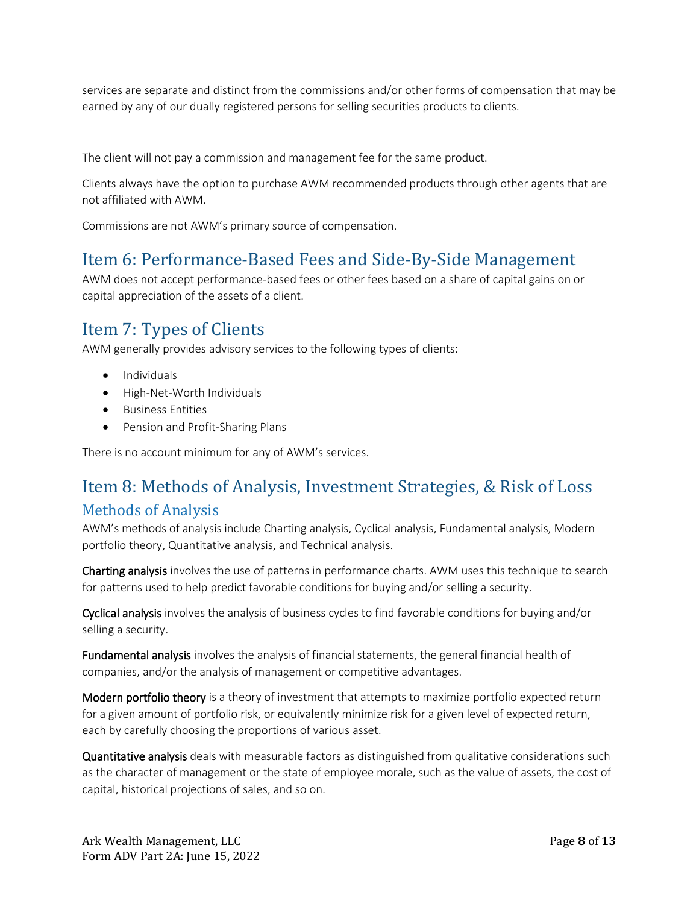services are separate and distinct from the commissions and/or other forms of compensation that may be earned by any of our dually registered persons for selling securities products to clients.

The client will not pay a commission and management fee for the same product.

Clients always have the option to purchase AWM recommended products through other agents that are not affiliated with AWM.

Commissions are not AWM's primary source of compensation.

# <span id="page-7-0"></span>Item 6: Performance-Based Fees and Side-By-Side Management

AWM does not accept performance-based fees or other fees based on a share of capital gains on or capital appreciation of the assets of a client.

# <span id="page-7-1"></span>Item 7: Types of Clients

AWM generally provides advisory services to the following types of clients:

- Individuals
- High-Net-Worth Individuals
- Business Entities
- Pension and Profit-Sharing Plans

There is no account minimum for any of AWM's services.

## <span id="page-7-2"></span>Item 8: Methods of Analysis, Investment Strategies, & Risk of Loss

### Methods of Analysis

AWM's methods of analysis include Charting analysis, Cyclical analysis, Fundamental analysis, Modern portfolio theory, Quantitative analysis, and Technical analysis.

Charting analysis involves the use of patterns in performance charts. AWM uses this technique to search for patterns used to help predict favorable conditions for buying and/or selling a security.

Cyclical analysis involves the analysis of business cycles to find favorable conditions for buying and/or selling a security.

Fundamental analysis involves the analysis of financial statements, the general financial health of companies, and/or the analysis of management or competitive advantages.

Modern portfolio theory is a theory of investment that attempts to maximize portfolio expected return for a given amount of portfolio risk, or equivalently minimize risk for a given level of expected return, each by carefully choosing the proportions of various asset.

Quantitative analysis deals with measurable factors as distinguished from qualitative considerations such as the character of management or the state of employee morale, such as the value of assets, the cost of capital, historical projections of sales, and so on.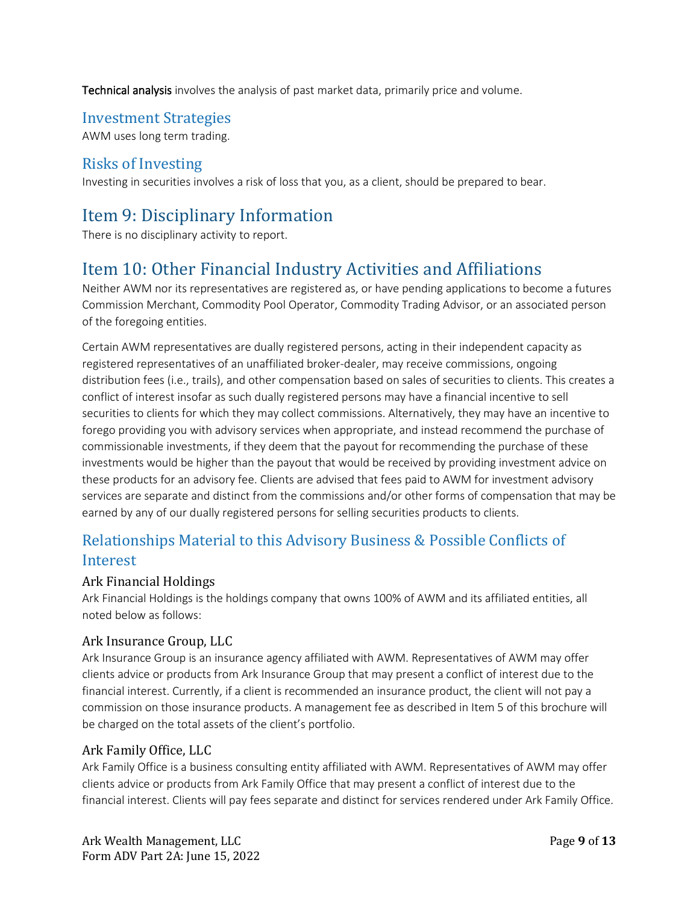Technical analysis involves the analysis of past market data, primarily price and volume.

### Investment Strategies

AWM uses long term trading.

### Risks of Investing

Investing in securities involves a risk of loss that you, as a client, should be prepared to bear.

# <span id="page-8-0"></span>Item 9: Disciplinary Information

There is no disciplinary activity to report.

# <span id="page-8-1"></span>Item 10: Other Financial Industry Activities and Affiliations

Neither AWM nor its representatives are registered as, or have pending applications to become a futures Commission Merchant, Commodity Pool Operator, Commodity Trading Advisor, or an associated person of the foregoing entities.

Certain AWM representatives are dually registered persons, acting in their independent capacity as registered representatives of an unaffiliated broker-dealer, may receive commissions, ongoing distribution fees (i.e., trails), and other compensation based on sales of securities to clients. This creates a conflict of interest insofar as such dually registered persons may have a financial incentive to sell securities to clients for which they may collect commissions. Alternatively, they may have an incentive to forego providing you with advisory services when appropriate, and instead recommend the purchase of commissionable investments, if they deem that the payout for recommending the purchase of these investments would be higher than the payout that would be received by providing investment advice on these products for an advisory fee. Clients are advised that fees paid to AWM for investment advisory services are separate and distinct from the commissions and/or other forms of compensation that may be earned by any of our dually registered persons for selling securities products to clients.

## Relationships Material to this Advisory Business & Possible Conflicts of Interest

#### Ark Financial Holdings

Ark Financial Holdings is the holdings company that owns 100% of AWM and its affiliated entities, all noted below as follows:

#### Ark Insurance Group, LLC

Ark Insurance Group is an insurance agency affiliated with AWM. Representatives of AWM may offer clients advice or products from Ark Insurance Group that may present a conflict of interest due to the financial interest. Currently, if a client is recommended an insurance product, the client will not pay a commission on those insurance products. A management fee as described in Item 5 of this brochure will be charged on the total assets of the client's portfolio.

#### Ark Family Office, LLC

Ark Family Office is a business consulting entity affiliated with AWM. Representatives of AWM may offer clients advice or products from Ark Family Office that may present a conflict of interest due to the financial interest. Clients will pay fees separate and distinct for services rendered under Ark Family Office.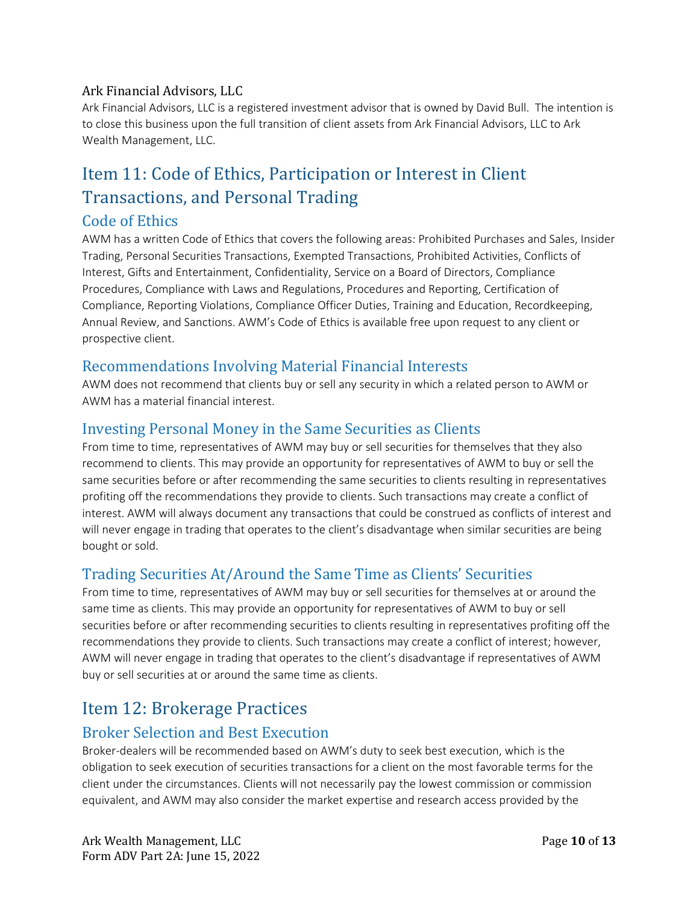#### Ark Financial Advisors, LLC

Ark Financial Advisors, LLC is a registered investment advisor that is owned by David Bull. The intention is to close this business upon the full transition of client assets from Ark Financial Advisors, LLC to Ark Wealth Management, LLC.

# <span id="page-9-0"></span>Item 11: Code of Ethics, Participation or Interest in Client Transactions, and Personal Trading

### Code of Ethics

AWM has a written Code of Ethics that covers the following areas: Prohibited Purchases and Sales, Insider Trading, Personal Securities Transactions, Exempted Transactions, Prohibited Activities, Conflicts of Interest, Gifts and Entertainment, Confidentiality, Service on a Board of Directors, Compliance Procedures, Compliance with Laws and Regulations, Procedures and Reporting, Certification of Compliance, Reporting Violations, Compliance Officer Duties, Training and Education, Recordkeeping, Annual Review, and Sanctions. AWM's Code of Ethics is available free upon request to any client or prospective client.

### Recommendations Involving Material Financial Interests

AWM does not recommend that clients buy or sell any security in which a related person to AWM or AWM has a material financial interest.

### Investing Personal Money in the Same Securities as Clients

From time to time, representatives of AWM may buy or sell securities for themselves that they also recommend to clients. This may provide an opportunity for representatives of AWM to buy or sell the same securities before or after recommending the same securities to clients resulting in representatives profiting off the recommendations they provide to clients. Such transactions may create a conflict of interest. AWM will always document any transactions that could be construed as conflicts of interest and will never engage in trading that operates to the client's disadvantage when similar securities are being bought or sold.

### Trading Securities At/Around the Same Time as Clients' Securities

From time to time, representatives of AWM may buy or sell securities for themselves at or around the same time as clients. This may provide an opportunity for representatives of AWM to buy or sell securities before or after recommending securities to clients resulting in representatives profiting off the recommendations they provide to clients. Such transactions may create a conflict of interest; however, AWM will never engage in trading that operates to the client's disadvantage if representatives of AWM buy or sell securities at or around the same time as clients.

# <span id="page-9-1"></span>Item 12: Brokerage Practices

### Broker Selection and Best Execution

Broker-dealers will be recommended based on AWM's duty to seek best execution, which is the obligation to seek execution of securities transactions for a client on the most favorable terms for the client under the circumstances. Clients will not necessarily pay the lowest commission or commission equivalent, and AWM may also consider the market expertise and research access provided by the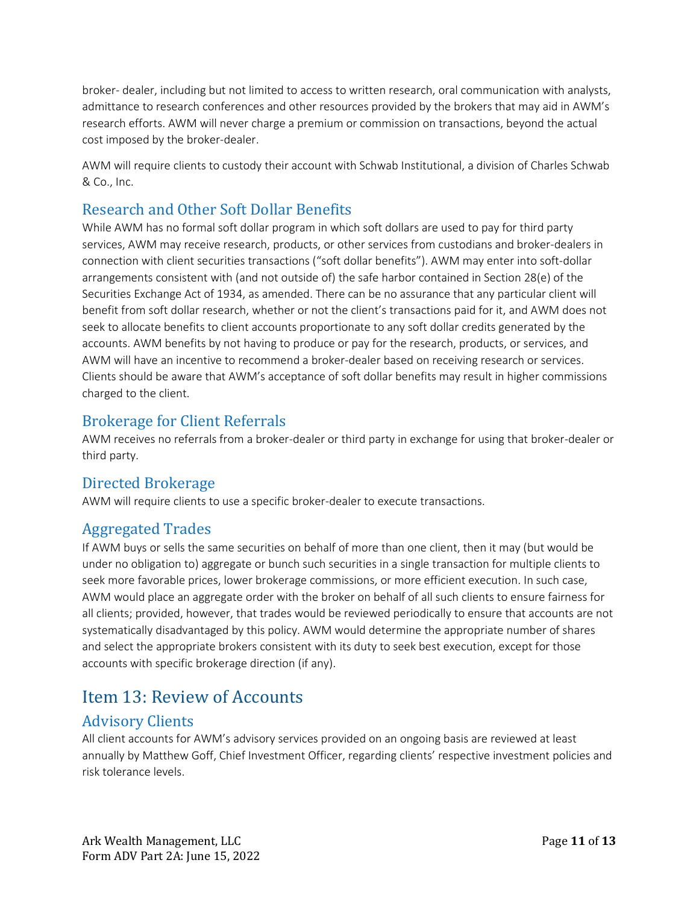broker- dealer, including but not limited to access to written research, oral communication with analysts, admittance to research conferences and other resources provided by the brokers that may aid in AWM's research efforts. AWM will never charge a premium or commission on transactions, beyond the actual cost imposed by the broker-dealer.

AWM will require clients to custody their account with Schwab Institutional, a division of Charles Schwab & Co., Inc.

## Research and Other Soft Dollar Benefits

While AWM has no formal soft dollar program in which soft dollars are used to pay for third party services, AWM may receive research, products, or other services from custodians and broker-dealers in connection with client securities transactions ("soft dollar benefits"). AWM may enter into soft-dollar arrangements consistent with (and not outside of) the safe harbor contained in Section 28(e) of the Securities Exchange Act of 1934, as amended. There can be no assurance that any particular client will benefit from soft dollar research, whether or not the client's transactions paid for it, and AWM does not seek to allocate benefits to client accounts proportionate to any soft dollar credits generated by the accounts. AWM benefits by not having to produce or pay for the research, products, or services, and AWM will have an incentive to recommend a broker-dealer based on receiving research or services. Clients should be aware that AWM's acceptance of soft dollar benefits may result in higher commissions charged to the client.

## Brokerage for Client Referrals

AWM receives no referrals from a broker-dealer or third party in exchange for using that broker-dealer or third party.

## Directed Brokerage

AWM will require clients to use a specific broker-dealer to execute transactions.

## Aggregated Trades

If AWM buys or sells the same securities on behalf of more than one client, then it may (but would be under no obligation to) aggregate or bunch such securities in a single transaction for multiple clients to seek more favorable prices, lower brokerage commissions, or more efficient execution. In such case, AWM would place an aggregate order with the broker on behalf of all such clients to ensure fairness for all clients; provided, however, that trades would be reviewed periodically to ensure that accounts are not systematically disadvantaged by this policy. AWM would determine the appropriate number of shares and select the appropriate brokers consistent with its duty to seek best execution, except for those accounts with specific brokerage direction (if any).

# <span id="page-10-0"></span>Item 13: Review of Accounts

## Advisory Clients

All client accounts for AWM's advisory services provided on an ongoing basis are reviewed at least annually by Matthew Goff, Chief Investment Officer, regarding clients' respective investment policies and risk tolerance levels.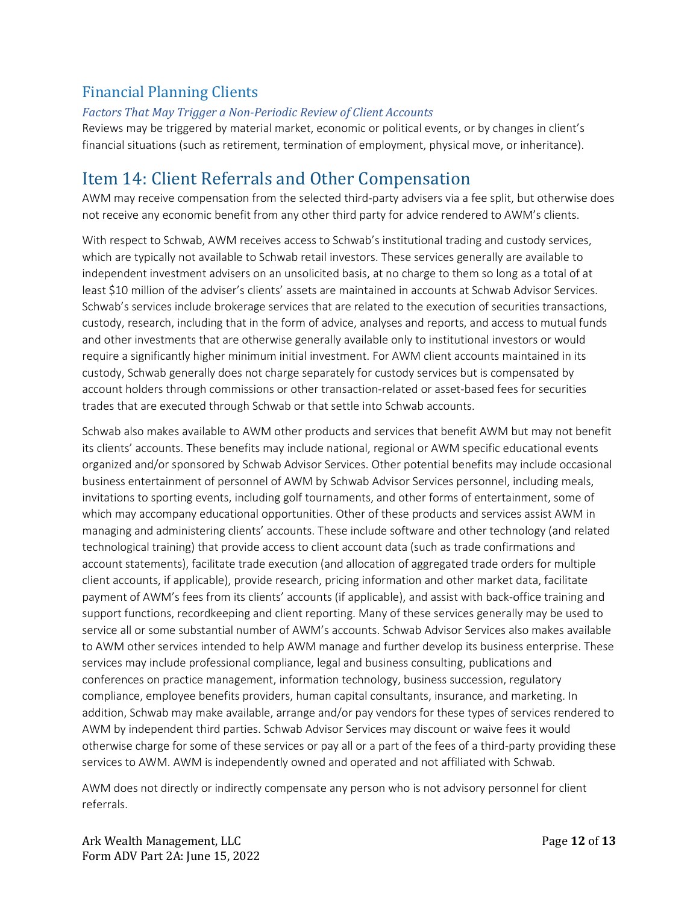## Financial Planning Clients

#### *Factors That May Trigger a Non-Periodic Review of Client Accounts*

Reviews may be triggered by material market, economic or political events, or by changes in client's financial situations (such as retirement, termination of employment, physical move, or inheritance).

# <span id="page-11-0"></span>Item 14: Client Referrals and Other Compensation

AWM may receive compensation from the selected third-party advisers via a fee split, but otherwise does not receive any economic benefit from any other third party for advice rendered to AWM's clients.

With respect to Schwab, AWM receives access to Schwab's institutional trading and custody services, which are typically not available to Schwab retail investors. These services generally are available to independent investment advisers on an unsolicited basis, at no charge to them so long as a total of at least \$10 million of the adviser's clients' assets are maintained in accounts at Schwab Advisor Services. Schwab's services include brokerage services that are related to the execution of securities transactions, custody, research, including that in the form of advice, analyses and reports, and access to mutual funds and other investments that are otherwise generally available only to institutional investors or would require a significantly higher minimum initial investment. For AWM client accounts maintained in its custody, Schwab generally does not charge separately for custody services but is compensated by account holders through commissions or other transaction-related or asset-based fees for securities trades that are executed through Schwab or that settle into Schwab accounts.

Schwab also makes available to AWM other products and services that benefit AWM but may not benefit its clients' accounts. These benefits may include national, regional or AWM specific educational events organized and/or sponsored by Schwab Advisor Services. Other potential benefits may include occasional business entertainment of personnel of AWM by Schwab Advisor Services personnel, including meals, invitations to sporting events, including golf tournaments, and other forms of entertainment, some of which may accompany educational opportunities. Other of these products and services assist AWM in managing and administering clients' accounts. These include software and other technology (and related technological training) that provide access to client account data (such as trade confirmations and account statements), facilitate trade execution (and allocation of aggregated trade orders for multiple client accounts, if applicable), provide research, pricing information and other market data, facilitate payment of AWM's fees from its clients' accounts (if applicable), and assist with back-office training and support functions, recordkeeping and client reporting. Many of these services generally may be used to service all or some substantial number of AWM's accounts. Schwab Advisor Services also makes available to AWM other services intended to help AWM manage and further develop its business enterprise. These services may include professional compliance, legal and business consulting, publications and conferences on practice management, information technology, business succession, regulatory compliance, employee benefits providers, human capital consultants, insurance, and marketing. In addition, Schwab may make available, arrange and/or pay vendors for these types of services rendered to AWM by independent third parties. Schwab Advisor Services may discount or waive fees it would otherwise charge for some of these services or pay all or a part of the fees of a third-party providing these services to AWM. AWM is independently owned and operated and not affiliated with Schwab.

AWM does not directly or indirectly compensate any person who is not advisory personnel for client referrals.